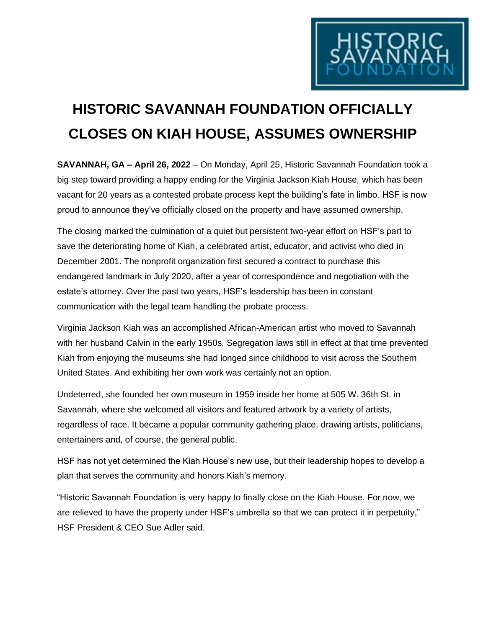

## **HISTORIC SAVANNAH FOUNDATION OFFICIALLY CLOSES ON KIAH HOUSE, ASSUMES OWNERSHIP**

**SAVANNAH, GA – April 26, 2022** – On Monday, April 25, Historic Savannah Foundation took a big step toward providing a happy ending for the Virginia Jackson Kiah House, which has been vacant for 20 years as a contested probate process kept the building's fate in limbo. HSF is now proud to announce they've officially closed on the property and have assumed ownership.

The closing marked the culmination of a quiet but persistent two-year effort on HSF's part to save the deteriorating home of Kiah, a celebrated artist, educator, and activist who died in December 2001. The nonprofit organization first secured a contract to purchase this endangered landmark in July 2020, after a year of correspondence and negotiation with the estate's attorney. Over the past two years, HSF's leadership has been in constant communication with the legal team handling the probate process.

Virginia Jackson Kiah was an accomplished African-American artist who moved to Savannah with her husband Calvin in the early 1950s. Segregation laws still in effect at that time prevented Kiah from enjoying the museums she had longed since childhood to visit across the Southern United States. And exhibiting her own work was certainly not an option.

Undeterred, she founded her own museum in 1959 inside her home at 505 W. 36th St. in Savannah, where she welcomed all visitors and featured artwork by a variety of artists, regardless of race. It became a popular community gathering place, drawing artists, politicians, entertainers and, of course, the general public.

HSF has not yet determined the Kiah House's new use, but their leadership hopes to develop a plan that serves the community and honors Kiah's memory.

"Historic Savannah Foundation is very happy to finally close on the Kiah House. For now, we are relieved to have the property under HSF's umbrella so that we can protect it in perpetuity," HSF President & CEO Sue Adler said.